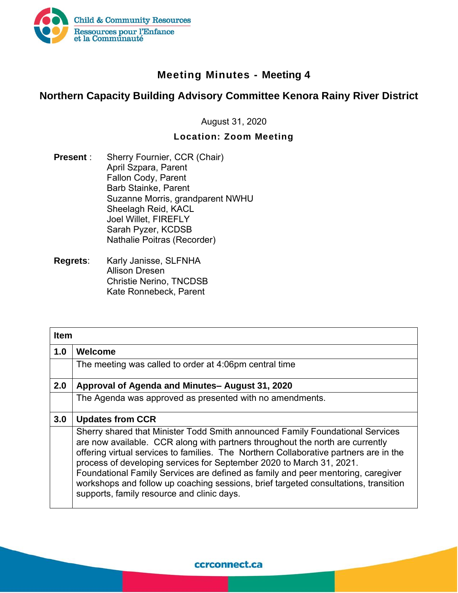

## **Meeting Minutes - Meeting 4**

## **Northern Capacity Building Advisory Committee Kenora Rainy River District**

August 31, 2020

## **Location: Zoom Meeting**

- **Present** : Sherry Fournier, CCR (Chair) April Szpara, Parent Fallon Cody, Parent Barb Stainke, Parent Suzanne Morris, grandparent NWHU Sheelagh Reid, KACL Joel Willet, FIREFLY Sarah Pyzer, KCDSB Nathalie Poitras (Recorder)
- **Regrets:** Karly Janisse, SLFNHA Allison Dresen Christie Nerino, TNCDSB Kate Ronnebeck, Parent

| <b>Item</b> |                                                                                                                                                                                                                                                                                                                                                                                                                                                                                                                                                          |
|-------------|----------------------------------------------------------------------------------------------------------------------------------------------------------------------------------------------------------------------------------------------------------------------------------------------------------------------------------------------------------------------------------------------------------------------------------------------------------------------------------------------------------------------------------------------------------|
| 1.0         | Welcome                                                                                                                                                                                                                                                                                                                                                                                                                                                                                                                                                  |
|             | The meeting was called to order at 4:06pm central time                                                                                                                                                                                                                                                                                                                                                                                                                                                                                                   |
| 2.0         | Approval of Agenda and Minutes-August 31, 2020                                                                                                                                                                                                                                                                                                                                                                                                                                                                                                           |
|             | The Agenda was approved as presented with no amendments.                                                                                                                                                                                                                                                                                                                                                                                                                                                                                                 |
| 3.0         | <b>Updates from CCR</b>                                                                                                                                                                                                                                                                                                                                                                                                                                                                                                                                  |
|             | Sherry shared that Minister Todd Smith announced Family Foundational Services<br>are now available. CCR along with partners throughout the north are currently<br>offering virtual services to families. The Northern Collaborative partners are in the<br>process of developing services for September 2020 to March 31, 2021.<br>Foundational Family Services are defined as family and peer mentoring, caregiver<br>workshops and follow up coaching sessions, brief targeted consultations, transition<br>supports, family resource and clinic days. |